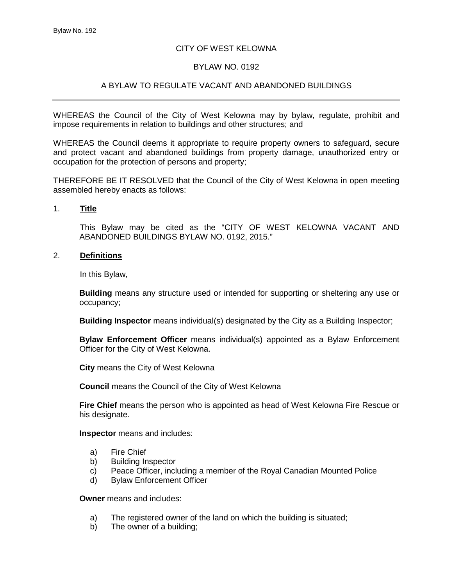### CITY OF WEST KELOWNA

#### BYLAW NO. 0192

## A BYLAW TO REGULATE VACANT AND ABANDONED BUILDINGS

WHEREAS the Council of the City of West Kelowna may by bylaw, regulate, prohibit and impose requirements in relation to buildings and other structures; and

WHEREAS the Council deems it appropriate to require property owners to safeguard, secure and protect vacant and abandoned buildings from property damage, unauthorized entry or occupation for the protection of persons and property;

THEREFORE BE IT RESOLVED that the Council of the City of West Kelowna in open meeting assembled hereby enacts as follows:

#### 1. **Title**

This Bylaw may be cited as the "CITY OF WEST KELOWNA VACANT AND ABANDONED BUILDINGS BYLAW NO. 0192, 2015."

#### 2. **Definitions**

In this Bylaw,

**Building** means any structure used or intended for supporting or sheltering any use or occupancy;

**Building Inspector** means individual(s) designated by the City as a Building Inspector;

**Bylaw Enforcement Officer** means individual(s) appointed as a Bylaw Enforcement Officer for the City of West Kelowna.

**City** means the City of West Kelowna

**Council** means the Council of the City of West Kelowna

**Fire Chief** means the person who is appointed as head of West Kelowna Fire Rescue or his designate.

**Inspector** means and includes:

- a) Fire Chief
- b) Building Inspector
- c) Peace Officer, including a member of the Royal Canadian Mounted Police<br>d) Bylaw Enforcement Officer
- **Bylaw Enforcement Officer**

**Owner** means and includes:

- a) The registered owner of the land on which the building is situated;
- b) The owner of a building;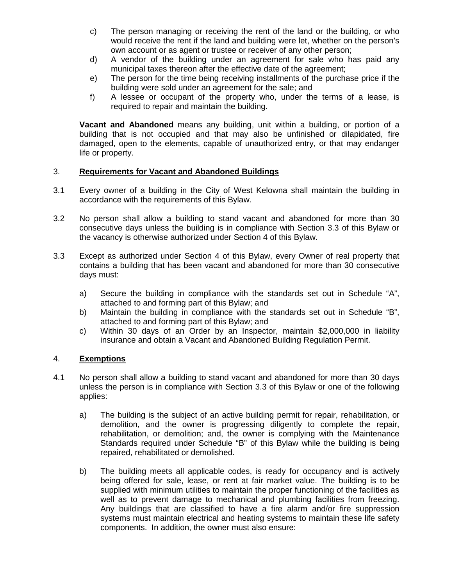- c) The person managing or receiving the rent of the land or the building, or who would receive the rent if the land and building were let, whether on the person's own account or as agent or trustee or receiver of any other person;
- d) A vendor of the building under an agreement for sale who has paid any municipal taxes thereon after the effective date of the agreement;
- e) The person for the time being receiving installments of the purchase price if the building were sold under an agreement for the sale; and
- f) A lessee or occupant of the property who, under the terms of a lease, is required to repair and maintain the building.

**Vacant and Abandoned** means any building, unit within a building, or portion of a building that is not occupied and that may also be unfinished or dilapidated, fire damaged, open to the elements, capable of unauthorized entry, or that may endanger life or property.

#### 3. **Requirements for Vacant and Abandoned Buildings**

- 3.1 Every owner of a building in the City of West Kelowna shall maintain the building in accordance with the requirements of this Bylaw.
- 3.2 No person shall allow a building to stand vacant and abandoned for more than 30 consecutive days unless the building is in compliance with Section 3.3 of this Bylaw or the vacancy is otherwise authorized under Section 4 of this Bylaw.
- 3.3 Except as authorized under Section 4 of this Bylaw, every Owner of real property that contains a building that has been vacant and abandoned for more than 30 consecutive days must:
	- a) Secure the building in compliance with the standards set out in Schedule "A", attached to and forming part of this Bylaw; and
	- b) Maintain the building in compliance with the standards set out in Schedule "B", attached to and forming part of this Bylaw; and
	- c) Within 30 days of an Order by an Inspector, maintain \$2,000,000 in liability insurance and obtain a Vacant and Abandoned Building Regulation Permit.

#### 4. **Exemptions**

- 4.1 No person shall allow a building to stand vacant and abandoned for more than 30 days unless the person is in compliance with Section 3.3 of this Bylaw or one of the following applies:
	- a) The building is the subject of an active building permit for repair, rehabilitation, or demolition, and the owner is progressing diligently to complete the repair, rehabilitation, or demolition; and, the owner is complying with the Maintenance Standards required under Schedule "B" of this Bylaw while the building is being repaired, rehabilitated or demolished.
	- b) The building meets all applicable codes, is ready for occupancy and is actively being offered for sale, lease, or rent at fair market value. The building is to be supplied with minimum utilities to maintain the proper functioning of the facilities as well as to prevent damage to mechanical and plumbing facilities from freezing. Any buildings that are classified to have a fire alarm and/or fire suppression systems must maintain electrical and heating systems to maintain these life safety components. In addition, the owner must also ensure: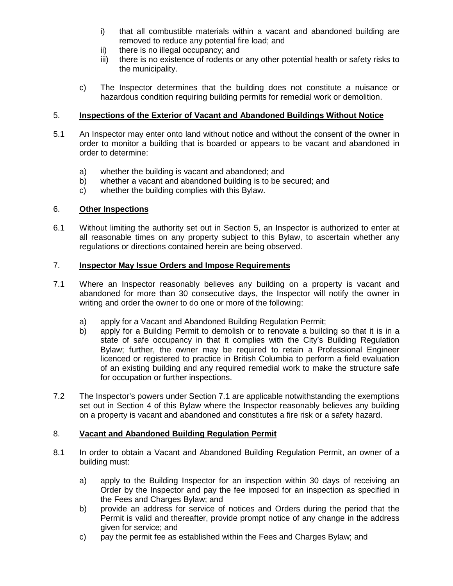- i) that all combustible materials within a vacant and abandoned building are removed to reduce any potential fire load; and
- ii) there is no illegal occupancy; and
- iii) there is no existence of rodents or any other potential health or safety risks to the municipality.
- c) The Inspector determines that the building does not constitute a nuisance or hazardous condition requiring building permits for remedial work or demolition.

# 5. **Inspections of the Exterior of Vacant and Abandoned Buildings Without Notice**

- 5.1 An Inspector may enter onto land without notice and without the consent of the owner in order to monitor a building that is boarded or appears to be vacant and abandoned in order to determine:
	- a) whether the building is vacant and abandoned; and
	- b) whether a vacant and abandoned building is to be secured; and
	- c) whether the building complies with this Bylaw.

# 6. **Other Inspections**

6.1 Without limiting the authority set out in Section 5, an Inspector is authorized to enter at all reasonable times on any property subject to this Bylaw, to ascertain whether any regulations or directions contained herein are being observed.

## 7. **Inspector May Issue Orders and Impose Requirements**

- 7.1 Where an Inspector reasonably believes any building on a property is vacant and abandoned for more than 30 consecutive days, the Inspector will notify the owner in writing and order the owner to do one or more of the following:
	- a) apply for a Vacant and Abandoned Building Regulation Permit;
	- b) apply for a Building Permit to demolish or to renovate a building so that it is in a state of safe occupancy in that it complies with the City's Building Regulation Bylaw; further, the owner may be required to retain a Professional Engineer licenced or registered to practice in British Columbia to perform a field evaluation of an existing building and any required remedial work to make the structure safe for occupation or further inspections.
- 7.2 The Inspector's powers under Section 7.1 are applicable notwithstanding the exemptions set out in Section 4 of this Bylaw where the Inspector reasonably believes any building on a property is vacant and abandoned and constitutes a fire risk or a safety hazard.

## 8. **Vacant and Abandoned Building Regulation Permit**

- 8.1 In order to obtain a Vacant and Abandoned Building Regulation Permit, an owner of a building must:
	- a) apply to the Building Inspector for an inspection within 30 days of receiving an Order by the Inspector and pay the fee imposed for an inspection as specified in the Fees and Charges Bylaw; and
	- b) provide an address for service of notices and Orders during the period that the Permit is valid and thereafter, provide prompt notice of any change in the address given for service; and
	- c) pay the permit fee as established within the Fees and Charges Bylaw; and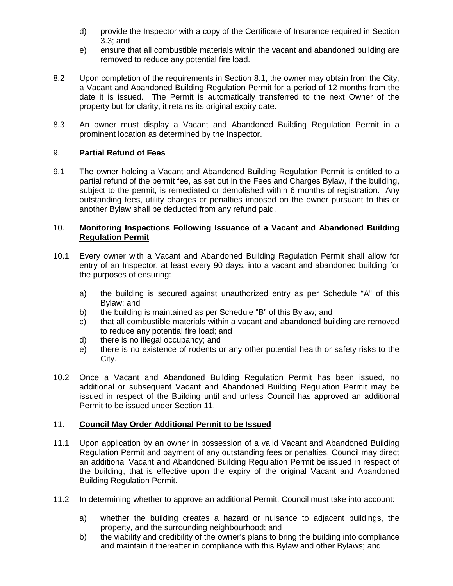- d) provide the Inspector with a copy of the Certificate of Insurance required in Section 3.3; and
- e) ensure that all combustible materials within the vacant and abandoned building are removed to reduce any potential fire load.
- 8.2 Upon completion of the requirements in Section 8.1, the owner may obtain from the City, a Vacant and Abandoned Building Regulation Permit for a period of 12 months from the date it is issued. The Permit is automatically transferred to the next Owner of the property but for clarity, it retains its original expiry date.
- 8.3 An owner must display a Vacant and Abandoned Building Regulation Permit in a prominent location as determined by the Inspector.

## 9. **Partial Refund of Fees**

9.1 The owner holding a Vacant and Abandoned Building Regulation Permit is entitled to a partial refund of the permit fee, as set out in the Fees and Charges Bylaw, if the building, subject to the permit, is remediated or demolished within 6 months of registration. Any outstanding fees, utility charges or penalties imposed on the owner pursuant to this or another Bylaw shall be deducted from any refund paid.

#### 10. **Monitoring Inspections Following Issuance of a Vacant and Abandoned Building Regulation Permit**

- 10.1 Every owner with a Vacant and Abandoned Building Regulation Permit shall allow for entry of an Inspector, at least every 90 days, into a vacant and abandoned building for the purposes of ensuring:
	- a) the building is secured against unauthorized entry as per Schedule "A" of this Bylaw; and
	- b) the building is maintained as per Schedule "B" of this Bylaw; and
	- c) that all combustible materials within a vacant and abandoned building are removed to reduce any potential fire load; and
	- d) there is no illegal occupancy; and
	- e) there is no existence of rodents or any other potential health or safety risks to the City.
- 10.2 Once a Vacant and Abandoned Building Regulation Permit has been issued, no additional or subsequent Vacant and Abandoned Building Regulation Permit may be issued in respect of the Building until and unless Council has approved an additional Permit to be issued under Section 11.

## 11. **Council May Order Additional Permit to be Issued**

- 11.1 Upon application by an owner in possession of a valid Vacant and Abandoned Building Regulation Permit and payment of any outstanding fees or penalties, Council may direct an additional Vacant and Abandoned Building Regulation Permit be issued in respect of the building, that is effective upon the expiry of the original Vacant and Abandoned Building Regulation Permit.
- 11.2 In determining whether to approve an additional Permit, Council must take into account:
	- a) whether the building creates a hazard or nuisance to adjacent buildings, the property, and the surrounding neighbourhood; and
	- b) the viability and credibility of the owner's plans to bring the building into compliance and maintain it thereafter in compliance with this Bylaw and other Bylaws; and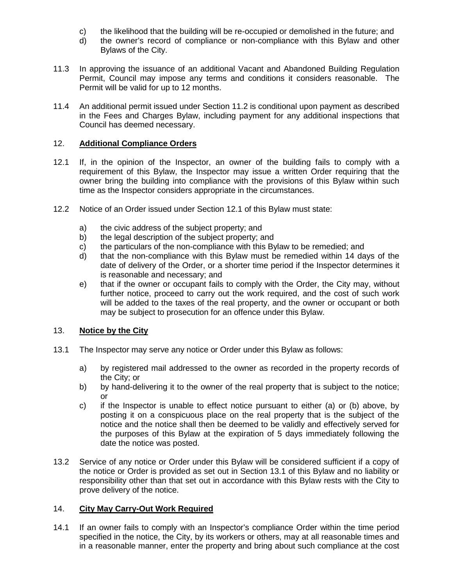- c) the likelihood that the building will be re-occupied or demolished in the future; and d<br>d) the owner's record of compliance or non-compliance with this Bylaw and othe
- the owner's record of compliance or non-compliance with this Bylaw and other Bylaws of the City.
- 11.3 In approving the issuance of an additional Vacant and Abandoned Building Regulation Permit, Council may impose any terms and conditions it considers reasonable. The Permit will be valid for up to 12 months.
- 11.4 An additional permit issued under Section 11.2 is conditional upon payment as described in the Fees and Charges Bylaw, including payment for any additional inspections that Council has deemed necessary.

# 12. **Additional Compliance Orders**

- 12.1 If, in the opinion of the Inspector, an owner of the building fails to comply with a requirement of this Bylaw, the Inspector may issue a written Order requiring that the owner bring the building into compliance with the provisions of this Bylaw within such time as the Inspector considers appropriate in the circumstances.
- 12.2 Notice of an Order issued under Section 12.1 of this Bylaw must state:
	- a) the civic address of the subject property; and
	- b) the legal description of the subject property; and
	- c) the particulars of the non-compliance with this Bylaw to be remedied; and
	- d) that the non-compliance with this Bylaw must be remedied within 14 days of the date of delivery of the Order, or a shorter time period if the Inspector determines it is reasonable and necessary; and
	- e) that if the owner or occupant fails to comply with the Order, the City may, without further notice, proceed to carry out the work required, and the cost of such work will be added to the taxes of the real property, and the owner or occupant or both may be subject to prosecution for an offence under this Bylaw.

## 13. **Notice by the City**

- 13.1 The Inspector may serve any notice or Order under this Bylaw as follows:
	- a) by registered mail addressed to the owner as recorded in the property records of the City; or
	- b) by hand-delivering it to the owner of the real property that is subject to the notice; or
	- c) if the Inspector is unable to effect notice pursuant to either (a) or (b) above, by posting it on a conspicuous place on the real property that is the subject of the notice and the notice shall then be deemed to be validly and effectively served for the purposes of this Bylaw at the expiration of 5 days immediately following the date the notice was posted.
- 13.2 Service of any notice or Order under this Bylaw will be considered sufficient if a copy of the notice or Order is provided as set out in Section 13.1 of this Bylaw and no liability or responsibility other than that set out in accordance with this Bylaw rests with the City to prove delivery of the notice.

# 14. **City May Carry-Out Work Required**

14.1 If an owner fails to comply with an Inspector's compliance Order within the time period specified in the notice, the City, by its workers or others, may at all reasonable times and in a reasonable manner, enter the property and bring about such compliance at the cost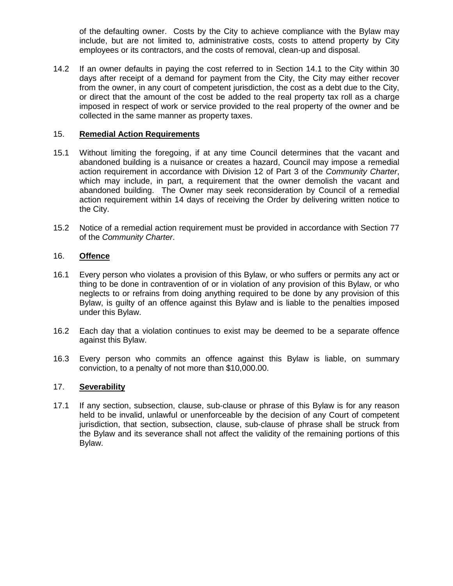of the defaulting owner. Costs by the City to achieve compliance with the Bylaw may include, but are not limited to, administrative costs, costs to attend property by City employees or its contractors, and the costs of removal, clean-up and disposal.

14.2 If an owner defaults in paying the cost referred to in Section 14.1 to the City within 30 days after receipt of a demand for payment from the City, the City may either recover from the owner, in any court of competent jurisdiction, the cost as a debt due to the City, or direct that the amount of the cost be added to the real property tax roll as a charge imposed in respect of work or service provided to the real property of the owner and be collected in the same manner as property taxes.

## 15. **Remedial Action Requirements**

- 15.1 Without limiting the foregoing, if at any time Council determines that the vacant and abandoned building is a nuisance or creates a hazard, Council may impose a remedial action requirement in accordance with Division 12 of Part 3 of the *Community Charter*, which may include, in part, a requirement that the owner demolish the vacant and abandoned building. The Owner may seek reconsideration by Council of a remedial action requirement within 14 days of receiving the Order by delivering written notice to the City.
- 15.2 Notice of a remedial action requirement must be provided in accordance with Section 77 of the *Community Charter*.

### 16. **Offence**

- 16.1 Every person who violates a provision of this Bylaw, or who suffers or permits any act or thing to be done in contravention of or in violation of any provision of this Bylaw, or who neglects to or refrains from doing anything required to be done by any provision of this Bylaw, is guilty of an offence against this Bylaw and is liable to the penalties imposed under this Bylaw.
- 16.2 Each day that a violation continues to exist may be deemed to be a separate offence against this Bylaw.
- 16.3 Every person who commits an offence against this Bylaw is liable, on summary conviction, to a penalty of not more than \$10,000.00.

## 17. **Severability**

17.1 If any section, subsection, clause, sub-clause or phrase of this Bylaw is for any reason held to be invalid, unlawful or unenforceable by the decision of any Court of competent jurisdiction, that section, subsection, clause, sub-clause of phrase shall be struck from the Bylaw and its severance shall not affect the validity of the remaining portions of this Bylaw.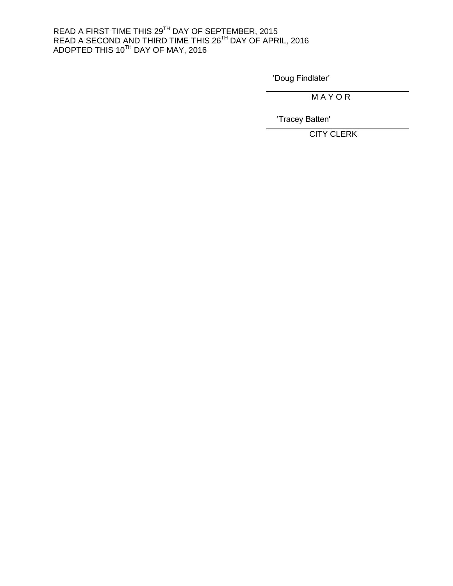#### READ A FIRST TIME THIS 29<sup>TH</sup> DAY OF SEPTEMBER, 2015 READ A SECOND AND THIRD TIME THIS 26 $^{\text{\tiny{\textsf{TH}}}}$  DAY OF APRIL, 2016 <code>ADOPTED</code> THIS 10 $^{\textsf{TH}}$  DAY OF MAY, 2016

'Doug Findlater'

M A Y O R

'Tracey Batten'

CITY CLERK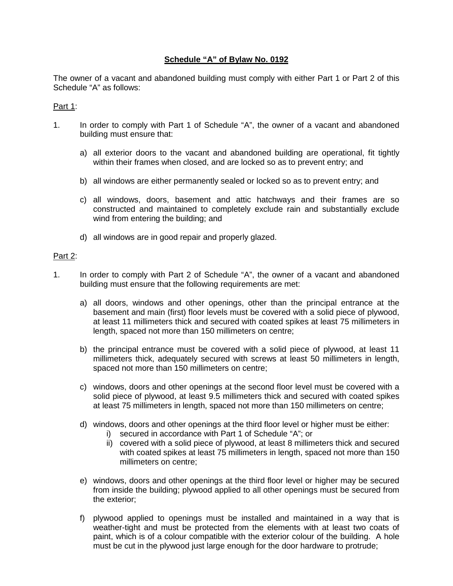# **Schedule "A" of Bylaw No. 0192**

The owner of a vacant and abandoned building must comply with either Part 1 or Part 2 of this Schedule "A" as follows:

#### Part 1:

- 1. In order to comply with Part 1 of Schedule "A", the owner of a vacant and abandoned building must ensure that:
	- a) all exterior doors to the vacant and abandoned building are operational, fit tightly within their frames when closed, and are locked so as to prevent entry; and
	- b) all windows are either permanently sealed or locked so as to prevent entry; and
	- c) all windows, doors, basement and attic hatchways and their frames are so constructed and maintained to completely exclude rain and substantially exclude wind from entering the building; and
	- d) all windows are in good repair and properly glazed.

#### Part 2:

- 1. In order to comply with Part 2 of Schedule "A", the owner of a vacant and abandoned building must ensure that the following requirements are met:
	- a) all doors, windows and other openings, other than the principal entrance at the basement and main (first) floor levels must be covered with a solid piece of plywood, at least 11 millimeters thick and secured with coated spikes at least 75 millimeters in length, spaced not more than 150 millimeters on centre;
	- b) the principal entrance must be covered with a solid piece of plywood, at least 11 millimeters thick, adequately secured with screws at least 50 millimeters in length, spaced not more than 150 millimeters on centre;
	- c) windows, doors and other openings at the second floor level must be covered with a solid piece of plywood, at least 9.5 millimeters thick and secured with coated spikes at least 75 millimeters in length, spaced not more than 150 millimeters on centre;
	- d) windows, doors and other openings at the third floor level or higher must be either:
		- i) secured in accordance with Part 1 of Schedule "A"; or
		- ii) covered with a solid piece of plywood, at least 8 millimeters thick and secured with coated spikes at least 75 millimeters in length, spaced not more than 150 millimeters on centre;
	- e) windows, doors and other openings at the third floor level or higher may be secured from inside the building; plywood applied to all other openings must be secured from the exterior;
	- f) plywood applied to openings must be installed and maintained in a way that is weather-tight and must be protected from the elements with at least two coats of paint, which is of a colour compatible with the exterior colour of the building. A hole must be cut in the plywood just large enough for the door hardware to protrude;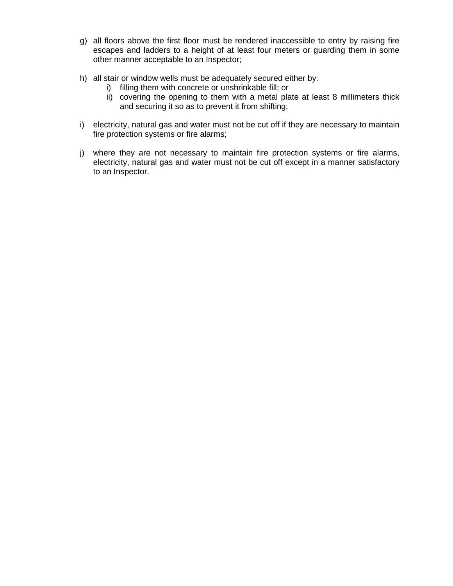- g) all floors above the first floor must be rendered inaccessible to entry by raising fire escapes and ladders to a height of at least four meters or guarding them in some other manner acceptable to an Inspector;
- h) all stair or window wells must be adequately secured either by:
	- i) filling them with concrete or unshrinkable fill; or
	- ii) covering the opening to them with a metal plate at least 8 millimeters thick and securing it so as to prevent it from shifting;
- i) electricity, natural gas and water must not be cut off if they are necessary to maintain fire protection systems or fire alarms;
- j) where they are not necessary to maintain fire protection systems or fire alarms, electricity, natural gas and water must not be cut off except in a manner satisfactory to an Inspector.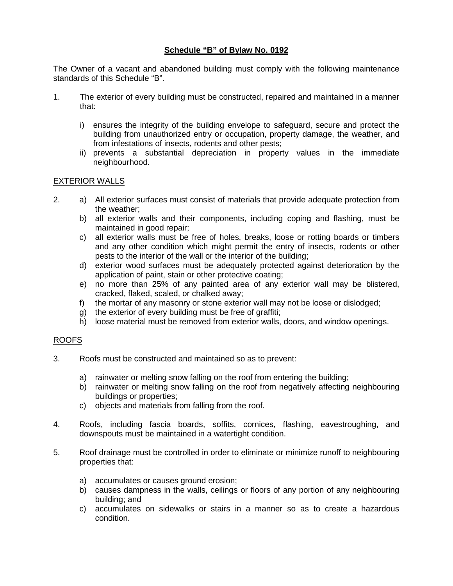# **Schedule "B" of Bylaw No. 0192**

The Owner of a vacant and abandoned building must comply with the following maintenance standards of this Schedule "B".

- 1. The exterior of every building must be constructed, repaired and maintained in a manner that:
	- i) ensures the integrity of the building envelope to safeguard, secure and protect the building from unauthorized entry or occupation, property damage, the weather, and from infestations of insects, rodents and other pests;
	- ii) prevents a substantial depreciation in property values in the immediate neighbourhood.

## EXTERIOR WALLS

- 2. a) All exterior surfaces must consist of materials that provide adequate protection from the weather;
	- b) all exterior walls and their components, including coping and flashing, must be maintained in good repair;
	- c) all exterior walls must be free of holes, breaks, loose or rotting boards or timbers and any other condition which might permit the entry of insects, rodents or other pests to the interior of the wall or the interior of the building;
	- d) exterior wood surfaces must be adequately protected against deterioration by the application of paint, stain or other protective coating;
	- e) no more than 25% of any painted area of any exterior wall may be blistered, cracked, flaked, scaled, or chalked away;
	- f) the mortar of any masonry or stone exterior wall may not be loose or dislodged;
	- g) the exterior of every building must be free of graffiti;
	- h) loose material must be removed from exterior walls, doors, and window openings.

#### ROOFS

- 3. Roofs must be constructed and maintained so as to prevent:
	- a) rainwater or melting snow falling on the roof from entering the building;
	- b) rainwater or melting snow falling on the roof from negatively affecting neighbouring buildings or properties;
	- c) objects and materials from falling from the roof.
- 4. Roofs, including fascia boards, soffits, cornices, flashing, eavestroughing, and downspouts must be maintained in a watertight condition.
- 5. Roof drainage must be controlled in order to eliminate or minimize runoff to neighbouring properties that:
	- a) accumulates or causes ground erosion;
	- b) causes dampness in the walls, ceilings or floors of any portion of any neighbouring building; and
	- c) accumulates on sidewalks or stairs in a manner so as to create a hazardous condition.